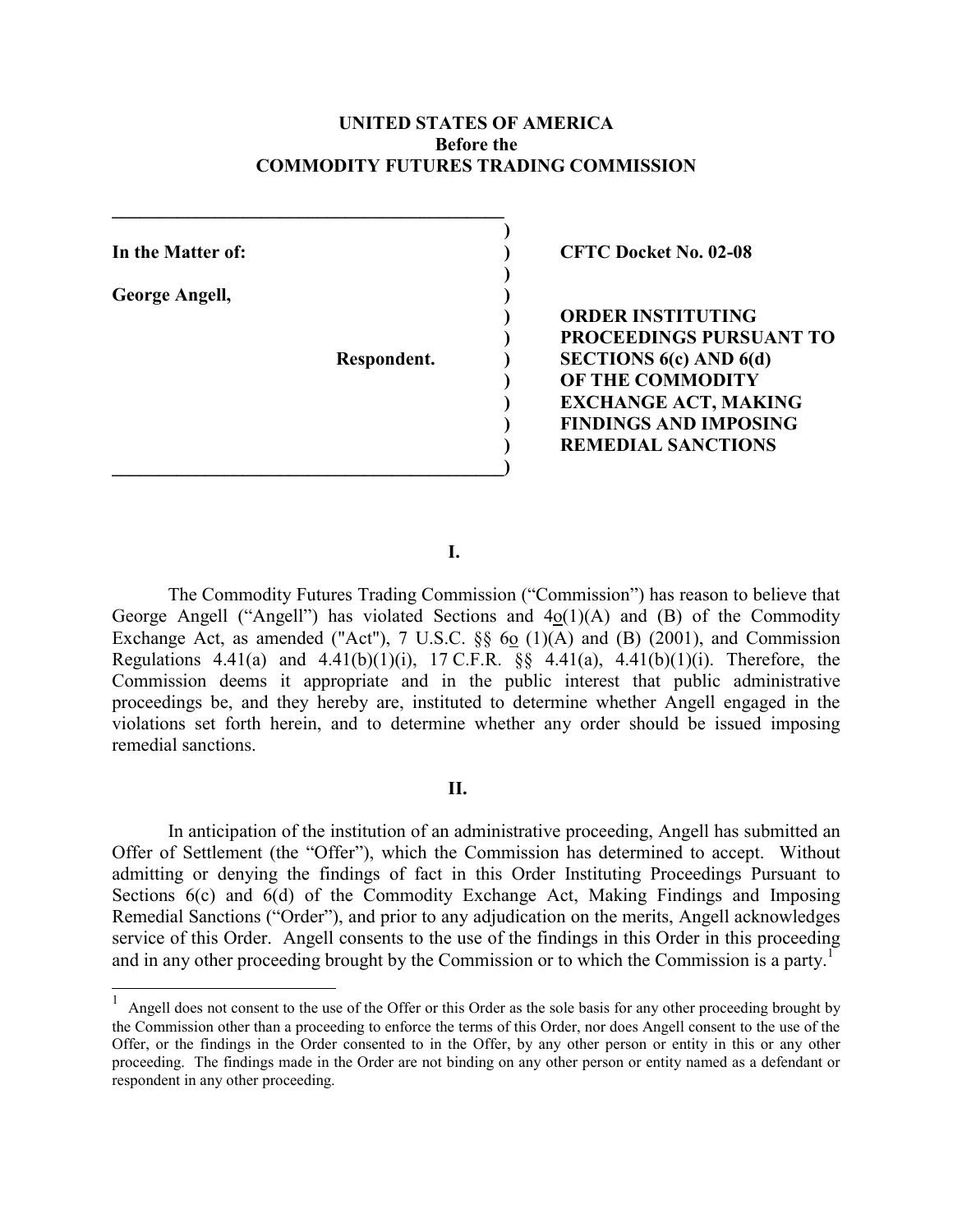## **UNITED STATES OF AMERICA Before the COMMODITY FUTURES TRADING COMMISSION**

**George Angell, )** 

 $\overline{a}$ 

 $\mathcal{L} = \{ \mathcal{L} \}$  **)** 

 **)** 

**\_\_\_\_\_\_\_\_\_\_\_\_\_\_\_\_\_\_\_\_\_\_\_\_\_\_\_\_\_\_\_\_\_\_\_\_\_\_\_\_\_\_)** 

In the Matter of: **(a) In the Matter of: (b) CFTC Docket No. 02-08** 

 **) ORDER INSTITUTING ) PROCEEDINGS PURSUANT TO Respondent. ) SECTIONS 6(c) AND 6(d) ) OF THE COMMODITY EXCHANGE ACT, MAKING ) FINDINGS AND IMPOSING ) REMEDIAL SANCTIONS** 

**I.** 

The Commodity Futures Trading Commission ("Commission") has reason to believe that George Angell ("Angell") has violated Sections and 4o(1)(A) and (B) of the Commodity Exchange Act, as amended ("Act"), 7 U.S.C.  $\S\S$  60 (1)(A) and (B) (2001), and Commission Regulations 4.41(a) and 4.41(b)(1)(i), 17 C.F.R.  $\S$  4.41(a), 4.41(b)(1)(i). Therefore, the Commission deems it appropriate and in the public interest that public administrative proceedings be, and they hereby are, instituted to determine whether Angell engaged in the violations set forth herein, and to determine whether any order should be issued imposing remedial sanctions.

## **II.**

In anticipation of the institution of an administrative proceeding, Angell has submitted an Offer of Settlement (the "Offer"), which the Commission has determined to accept. Without admitting or denying the findings of fact in this Order Instituting Proceedings Pursuant to Sections 6(c) and 6(d) of the Commodity Exchange Act, Making Findings and Imposing Remedial Sanctions ("Order"), and prior to any adjudication on the merits, Angell acknowledges service of this Order. Angell consents to the use of the findings in this Order in this proceeding and in any other proceeding brought by the Commission or to which the Commission is a party.<sup>[1](#page-0-0)</sup>

<span id="page-0-0"></span> $<sup>1</sup>$  Angell does not consent to the use of the Offer or this Order as the sole basis for any other proceeding brought by</sup> the Commission other than a proceeding to enforce the terms of this Order, nor does Angell consent to the use of the Offer, or the findings in the Order consented to in the Offer, by any other person or entity in this or any other proceeding. The findings made in the Order are not binding on any other person or entity named as a defendant or respondent in any other proceeding.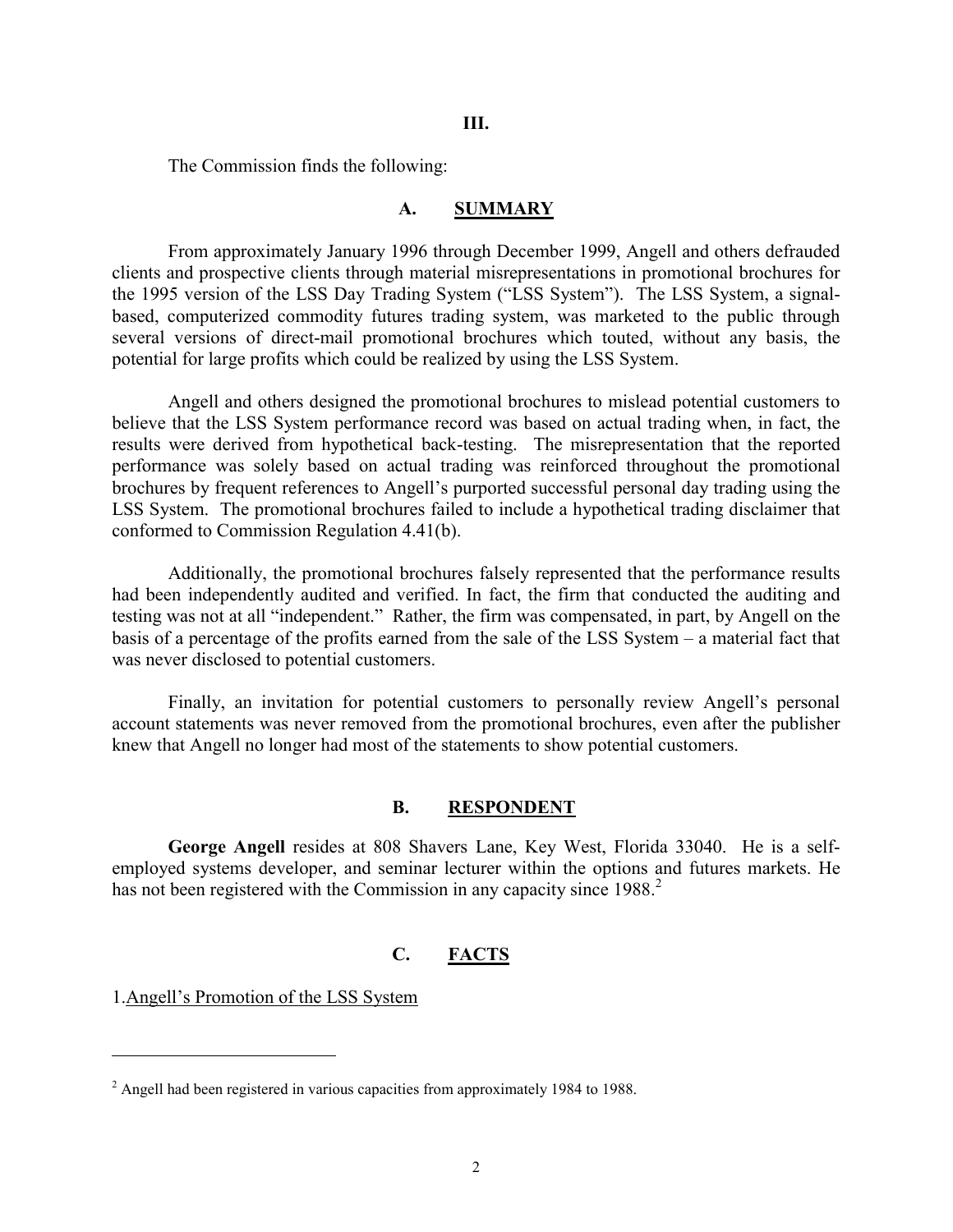**III.** 

The Commission finds the following:

## **A. SUMMARY**

From approximately January 1996 through December 1999, Angell and others defrauded clients and prospective clients through material misrepresentations in promotional brochures for the 1995 version of the LSS Day Trading System ("LSS System"). The LSS System, a signalbased, computerized commodity futures trading system, was marketed to the public through several versions of direct-mail promotional brochures which touted, without any basis, the potential for large profits which could be realized by using the LSS System.

Angell and others designed the promotional brochures to mislead potential customers to believe that the LSS System performance record was based on actual trading when, in fact, the results were derived from hypothetical back-testing. The misrepresentation that the reported performance was solely based on actual trading was reinforced throughout the promotional brochures by frequent references to Angell's purported successful personal day trading using the LSS System. The promotional brochures failed to include a hypothetical trading disclaimer that conformed to Commission Regulation 4.41(b).

Additionally, the promotional brochures falsely represented that the performance results had been independently audited and verified. In fact, the firm that conducted the auditing and testing was not at all "independent." Rather, the firm was compensated, in part, by Angell on the basis of a percentage of the profits earned from the sale of the LSS System – a material fact that was never disclosed to potential customers.

Finally, an invitation for potential customers to personally review Angell's personal account statements was never removed from the promotional brochures, even after the publisher knew that Angell no longer had most of the statements to show potential customers.

## **B. RESPONDENT**

**George Angell** resides at 808 Shavers Lane, Key West, Florida 33040. He is a selfemployed systems developer, and seminar lecturer within the options and futures markets. He has not been registered with the Commission in any capacity since  $1988$ <sup>[2](#page-1-0)</sup>

## **C. FACTS**

1.Angell's Promotion of the LSS System

 $\overline{a}$ 

<span id="page-1-0"></span><sup>&</sup>lt;sup>2</sup> Angell had been registered in various capacities from approximately 1984 to 1988.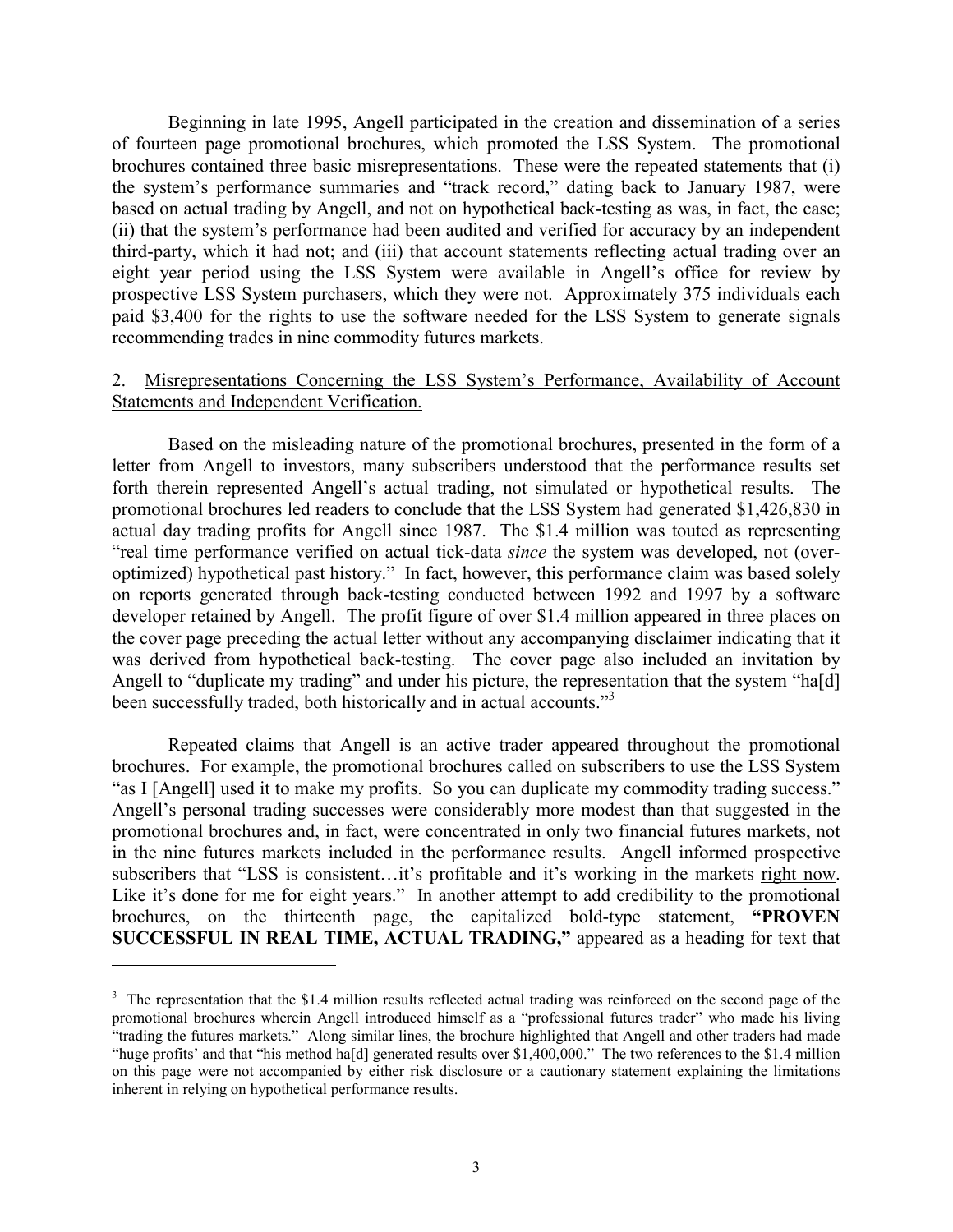Beginning in late 1995, Angell participated in the creation and dissemination of a series of fourteen page promotional brochures, which promoted the LSS System. The promotional brochures contained three basic misrepresentations. These were the repeated statements that (i) the system's performance summaries and "track record," dating back to January 1987, were based on actual trading by Angell, and not on hypothetical back-testing as was, in fact, the case; (ii) that the system's performance had been audited and verified for accuracy by an independent third-party, which it had not; and (iii) that account statements reflecting actual trading over an eight year period using the LSS System were available in Angell's office for review by prospective LSS System purchasers, which they were not. Approximately 375 individuals each paid \$3,400 for the rights to use the software needed for the LSS System to generate signals recommending trades in nine commodity futures markets.

# 2. Misrepresentations Concerning the LSS System's Performance, Availability of Account Statements and Independent Verification.

Based on the misleading nature of the promotional brochures, presented in the form of a letter from Angell to investors, many subscribers understood that the performance results set forth therein represented Angell's actual trading, not simulated or hypothetical results. The promotional brochures led readers to conclude that the LSS System had generated \$1,426,830 in actual day trading profits for Angell since 1987. The \$1.4 million was touted as representing "real time performance verified on actual tick-data *since* the system was developed, not (overoptimized) hypothetical past history." In fact, however, this performance claim was based solely on reports generated through back-testing conducted between 1992 and 1997 by a software developer retained by Angell. The profit figure of over \$1.4 million appeared in three places on the cover page preceding the actual letter without any accompanying disclaimer indicating that it was derived from hypothetical back-testing. The cover page also included an invitation by Angell to "duplicate my trading" and under his picture, the representation that the system "ha[d] been successfully traded, both historically and in actual accounts.<sup>[3](#page-2-0)3</sup>

Repeated claims that Angell is an active trader appeared throughout the promotional brochures. For example, the promotional brochures called on subscribers to use the LSS System "as I [Angell] used it to make my profits. So you can duplicate my commodity trading success." Angell's personal trading successes were considerably more modest than that suggested in the promotional brochures and, in fact, were concentrated in only two financial futures markets, not in the nine futures markets included in the performance results. Angell informed prospective subscribers that "LSS is consistent…it's profitable and it's working in the markets right now. Like it's done for me for eight years." In another attempt to add credibility to the promotional brochures, on the thirteenth page, the capitalized bold-type statement, **"PROVEN SUCCESSFUL IN REAL TIME, ACTUAL TRADING,"** appeared as a heading for text that

l

<span id="page-2-0"></span> $3$  The representation that the \$1.4 million results reflected actual trading was reinforced on the second page of the promotional brochures wherein Angell introduced himself as a "professional futures trader" who made his living "trading the futures markets." Along similar lines, the brochure highlighted that Angell and other traders had made "huge profits' and that "his method ha[d] generated results over \$1,400,000." The two references to the \$1.4 million on this page were not accompanied by either risk disclosure or a cautionary statement explaining the limitations inherent in relying on hypothetical performance results.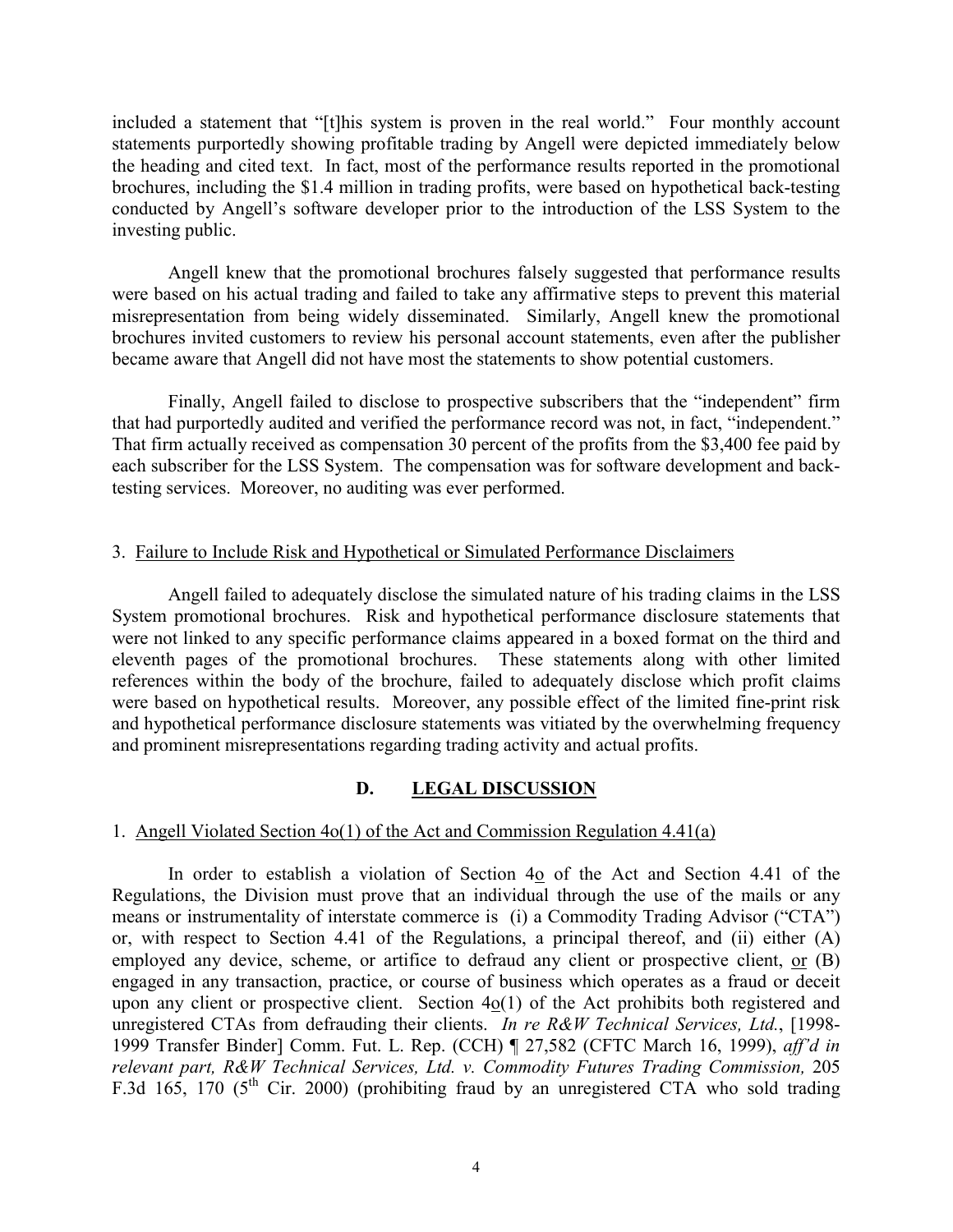included a statement that "[t]his system is proven in the real world." Four monthly account statements purportedly showing profitable trading by Angell were depicted immediately below the heading and cited text. In fact, most of the performance results reported in the promotional brochures, including the \$1.4 million in trading profits, were based on hypothetical back-testing conducted by Angell's software developer prior to the introduction of the LSS System to the investing public.

Angell knew that the promotional brochures falsely suggested that performance results were based on his actual trading and failed to take any affirmative steps to prevent this material misrepresentation from being widely disseminated. Similarly, Angell knew the promotional brochures invited customers to review his personal account statements, even after the publisher became aware that Angell did not have most the statements to show potential customers.

Finally, Angell failed to disclose to prospective subscribers that the "independent" firm that had purportedly audited and verified the performance record was not, in fact, "independent." That firm actually received as compensation 30 percent of the profits from the \$3,400 fee paid by each subscriber for the LSS System. The compensation was for software development and backtesting services. Moreover, no auditing was ever performed.

# 3. Failure to Include Risk and Hypothetical or Simulated Performance Disclaimers

Angell failed to adequately disclose the simulated nature of his trading claims in the LSS System promotional brochures. Risk and hypothetical performance disclosure statements that were not linked to any specific performance claims appeared in a boxed format on the third and eleventh pages of the promotional brochures. These statements along with other limited references within the body of the brochure, failed to adequately disclose which profit claims were based on hypothetical results. Moreover, any possible effect of the limited fine-print risk and hypothetical performance disclosure statements was vitiated by the overwhelming frequency and prominent misrepresentations regarding trading activity and actual profits.

# **D. LEGAL DISCUSSION**

# 1. Angell Violated Section 4o(1) of the Act and Commission Regulation 4.41(a)

In order to establish a violation of Section 4o of the Act and Section 4.41 of the Regulations, the Division must prove that an individual through the use of the mails or any means or instrumentality of interstate commerce is (i) a Commodity Trading Advisor ("CTA") or, with respect to Section 4.41 of the Regulations, a principal thereof, and (ii) either (A) employed any device, scheme, or artifice to defraud any client or prospective client, or  $(B)$ engaged in any transaction, practice, or course of business which operates as a fraud or deceit upon any client or prospective client. Section 4o(1) of the Act prohibits both registered and unregistered CTAs from defrauding their clients. *In re R&W Technical Services, Ltd.*, [1998- 1999 Transfer Binder] Comm. Fut. L. Rep. (CCH) ¶ 27,582 (CFTC March 16, 1999), *aff'd in relevant part, R&W Technical Services, Ltd. v. Commodity Futures Trading Commission,* 205 F.3d 165, 170 ( $5^{\text{th}}$  Cir. 2000) (prohibiting fraud by an unregistered CTA who sold trading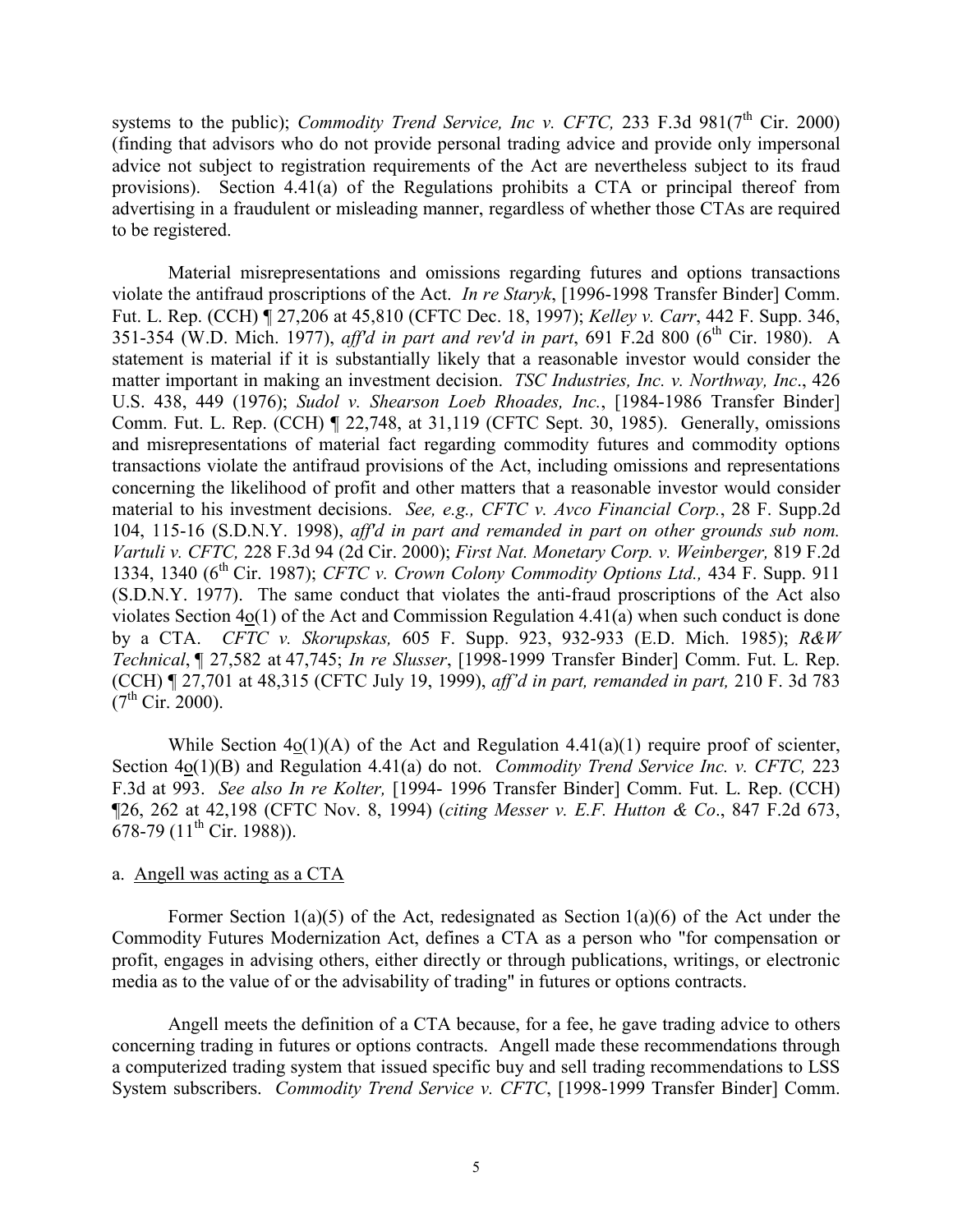systems to the public); *Commodity Trend Service, Inc v. CFTC*, 233 F.3d  $981(7<sup>th</sup>$  Cir. 2000) (finding that advisors who do not provide personal trading advice and provide only impersonal advice not subject to registration requirements of the Act are nevertheless subject to its fraud provisions). Section 4.41(a) of the Regulations prohibits a CTA or principal thereof from advertising in a fraudulent or misleading manner, regardless of whether those CTAs are required to be registered.

Material misrepresentations and omissions regarding futures and options transactions violate the antifraud proscriptions of the Act. *In re Staryk*, [1996-1998 Transfer Binder] Comm. Fut. L. Rep. (CCH) ¶ 27,206 at 45,810 (CFTC Dec. 18, 1997); *Kelley v. Carr*, 442 F. Supp. 346, 351-354 (W.D. Mich. 1977), *aff'd in part and rev'd in part*, 691 F.2d 800 (6<sup>th</sup> Cir. 1980). A statement is material if it is substantially likely that a reasonable investor would consider the matter important in making an investment decision. *TSC Industries, Inc. v. Northway, Inc*., 426 U.S. 438, 449 (1976); *Sudol v. Shearson Loeb Rhoades, Inc.*, [1984-1986 Transfer Binder] Comm. Fut. L. Rep. (CCH) ¶ 22,748, at 31,119 (CFTC Sept. 30, 1985). Generally, omissions and misrepresentations of material fact regarding commodity futures and commodity options transactions violate the antifraud provisions of the Act, including omissions and representations concerning the likelihood of profit and other matters that a reasonable investor would consider material to his investment decisions. *See, e.g., CFTC v. Avco Financial Corp.*, 28 F. Supp.2d 104, 115-16 (S.D.N.Y. 1998), *aff'd in part and remanded in part on other grounds sub nom. Vartuli v. CFTC,* 228 F.3d 94 (2d Cir. 2000); *First Nat. Monetary Corp. v. Weinberger,* 819 F.2d 1334, 1340 (6th Cir. 1987); *CFTC v. Crown Colony Commodity Options Ltd.,* 434 F. Supp. 911 (S.D.N.Y. 1977). The same conduct that violates the anti-fraud proscriptions of the Act also violates Section 4o(1) of the Act and Commission Regulation 4.41(a) when such conduct is done by a CTA. *CFTC v. Skorupskas,* 605 F. Supp. 923, 932-933 (E.D. Mich. 1985); *R&W Technical*, ¶ 27,582 at 47,745; *In re Slusser*, [1998-1999 Transfer Binder] Comm. Fut. L. Rep. (CCH) ¶ 27,701 at 48,315 (CFTC July 19, 1999), *aff'd in part, remanded in part,* 210 F. 3d 783  $(7^{th}$  Cir. 2000).

While Section  $4o(1)(A)$  of the Act and Regulation  $4.41(a)(1)$  require proof of scienter, Section 4o(1)(B) and Regulation 4.41(a) do not. *Commodity Trend Service Inc. v. CFTC,* 223 F.3d at 993. *See also In re Kolter,* [1994- 1996 Transfer Binder] Comm. Fut. L. Rep. (CCH) ¶26, 262 at 42,198 (CFTC Nov. 8, 1994) (*citing Messer v. E.F. Hutton & Co*., 847 F.2d 673, 678-79 (11<sup>th</sup> Cir. 1988)).

# a. Angell was acting as a CTA

Former Section  $1(a)(5)$  of the Act, redesignated as Section  $1(a)(6)$  of the Act under the Commodity Futures Modernization Act, defines a CTA as a person who "for compensation or profit, engages in advising others, either directly or through publications, writings, or electronic media as to the value of or the advisability of trading" in futures or options contracts.

Angell meets the definition of a CTA because, for a fee, he gave trading advice to others concerning trading in futures or options contracts. Angell made these recommendations through a computerized trading system that issued specific buy and sell trading recommendations to LSS System subscribers. *Commodity Trend Service v. CFTC*, [1998-1999 Transfer Binder] Comm.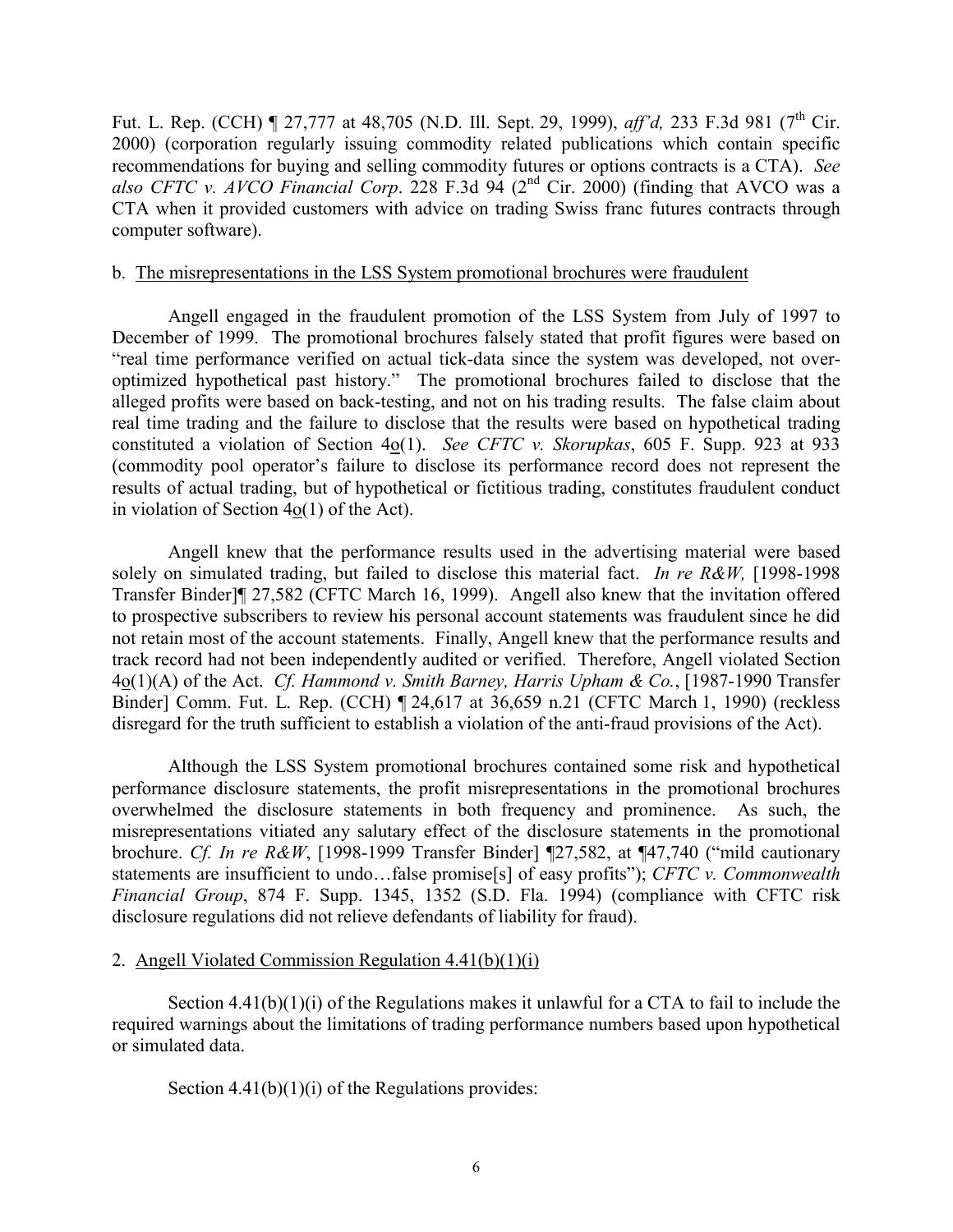Fut. L. Rep. (CCH) ¶ 27,777 at 48,705 (N.D. Ill. Sept. 29, 1999), *aff'd*, 233 F.3d 981 (7<sup>th</sup> Cir. 2000) (corporation regularly issuing commodity related publications which contain specific recommendations for buying and selling commodity futures or options contracts is a CTA). *See* also CFTC v. AVCO Financial Corp. 228 F.3d 94 (2<sup>nd</sup> Cir. 2000) (finding that AVCO was a CTA when it provided customers with advice on trading Swiss franc futures contracts through computer software).

## b. The misrepresentations in the LSS System promotional brochures were fraudulent

Angell engaged in the fraudulent promotion of the LSS System from July of 1997 to December of 1999. The promotional brochures falsely stated that profit figures were based on "real time performance verified on actual tick-data since the system was developed, not overoptimized hypothetical past history." The promotional brochures failed to disclose that the alleged profits were based on back-testing, and not on his trading results. The false claim about real time trading and the failure to disclose that the results were based on hypothetical trading constituted a violation of Section 4o(1). *See CFTC v. Skorupkas*, 605 F. Supp. 923 at 933 (commodity pool operator's failure to disclose its performance record does not represent the results of actual trading, but of hypothetical or fictitious trading, constitutes fraudulent conduct in violation of Section 4o(1) of the Act).

Angell knew that the performance results used in the advertising material were based solely on simulated trading, but failed to disclose this material fact. *In re R&W,* [1998-1998 Transfer Binder]¶ 27,582 (CFTC March 16, 1999). Angell also knew that the invitation offered to prospective subscribers to review his personal account statements was fraudulent since he did not retain most of the account statements. Finally, Angell knew that the performance results and track record had not been independently audited or verified. Therefore, Angell violated Section 4o(1)(A) of the Act. *Cf. Hammond v. Smith Barney, Harris Upham & Co.*, [1987-1990 Transfer Binder] Comm. Fut. L. Rep. (CCH) ¶ 24,617 at 36,659 n.21 (CFTC March 1, 1990) (reckless disregard for the truth sufficient to establish a violation of the anti-fraud provisions of the Act).

Although the LSS System promotional brochures contained some risk and hypothetical performance disclosure statements, the profit misrepresentations in the promotional brochures overwhelmed the disclosure statements in both frequency and prominence. As such, the misrepresentations vitiated any salutary effect of the disclosure statements in the promotional brochure. *Cf. In re R&W*, [1998-1999 Transfer Binder] ¶27,582, at ¶47,740 ("mild cautionary statements are insufficient to undo…false promise[s] of easy profits"); *CFTC v. Commonwealth Financial Group*, 874 F. Supp. 1345, 1352 (S.D. Fla. 1994) (compliance with CFTC risk disclosure regulations did not relieve defendants of liability for fraud).

# 2. Angell Violated Commission Regulation 4.41(b)(1)(i)

Section 4.41(b)(1)(i) of the Regulations makes it unlawful for a CTA to fail to include the required warnings about the limitations of trading performance numbers based upon hypothetical or simulated data.

Section  $4.41(b)(1)(i)$  of the Regulations provides: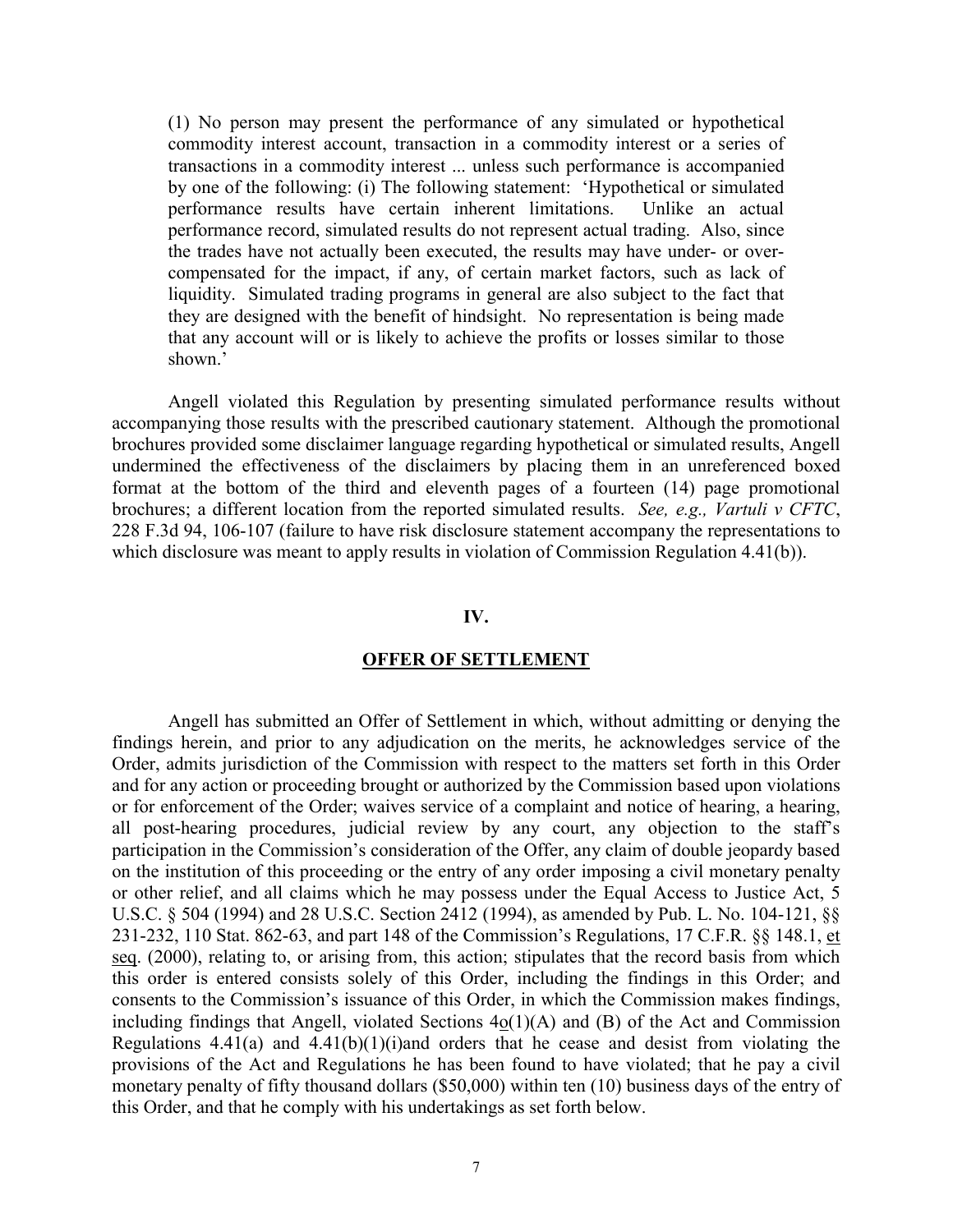(1) No person may present the performance of any simulated or hypothetical commodity interest account, transaction in a commodity interest or a series of transactions in a commodity interest ... unless such performance is accompanied by one of the following: (i) The following statement: 'Hypothetical or simulated performance results have certain inherent limitations. Unlike an actual performance record, simulated results do not represent actual trading. Also, since the trades have not actually been executed, the results may have under- or overcompensated for the impact, if any, of certain market factors, such as lack of liquidity. Simulated trading programs in general are also subject to the fact that they are designed with the benefit of hindsight. No representation is being made that any account will or is likely to achieve the profits or losses similar to those shown.'

Angell violated this Regulation by presenting simulated performance results without accompanying those results with the prescribed cautionary statement. Although the promotional brochures provided some disclaimer language regarding hypothetical or simulated results, Angell undermined the effectiveness of the disclaimers by placing them in an unreferenced boxed format at the bottom of the third and eleventh pages of a fourteen (14) page promotional brochures; a different location from the reported simulated results. *See, e.g., Vartuli v CFTC*, 228 F.3d 94, 106-107 (failure to have risk disclosure statement accompany the representations to which disclosure was meant to apply results in violation of Commission Regulation 4.41(b)).

### **IV.**

### **OFFER OF SETTLEMENT**

Angell has submitted an Offer of Settlement in which, without admitting or denying the findings herein, and prior to any adjudication on the merits, he acknowledges service of the Order, admits jurisdiction of the Commission with respect to the matters set forth in this Order and for any action or proceeding brought or authorized by the Commission based upon violations or for enforcement of the Order; waives service of a complaint and notice of hearing, a hearing, all post-hearing procedures, judicial review by any court, any objection to the staff's participation in the Commission's consideration of the Offer, any claim of double jeopardy based on the institution of this proceeding or the entry of any order imposing a civil monetary penalty or other relief, and all claims which he may possess under the Equal Access to Justice Act, 5 U.S.C. § 504 (1994) and 28 U.S.C. Section 2412 (1994), as amended by Pub. L. No. 104-121, §§ 231-232, 110 Stat. 862-63, and part 148 of the Commission's Regulations, 17 C.F.R. §§ 148.1, et seq. (2000), relating to, or arising from, this action; stipulates that the record basis from which this order is entered consists solely of this Order, including the findings in this Order; and consents to the Commission's issuance of this Order, in which the Commission makes findings, including findings that Angell, violated Sections  $4o(1)(A)$  and (B) of the Act and Commission Regulations  $4.41(a)$  and  $4.41(b)(1)(i)$  and orders that he cease and desist from violating the provisions of the Act and Regulations he has been found to have violated; that he pay a civil monetary penalty of fifty thousand dollars (\$50,000) within ten (10) business days of the entry of this Order, and that he comply with his undertakings as set forth below.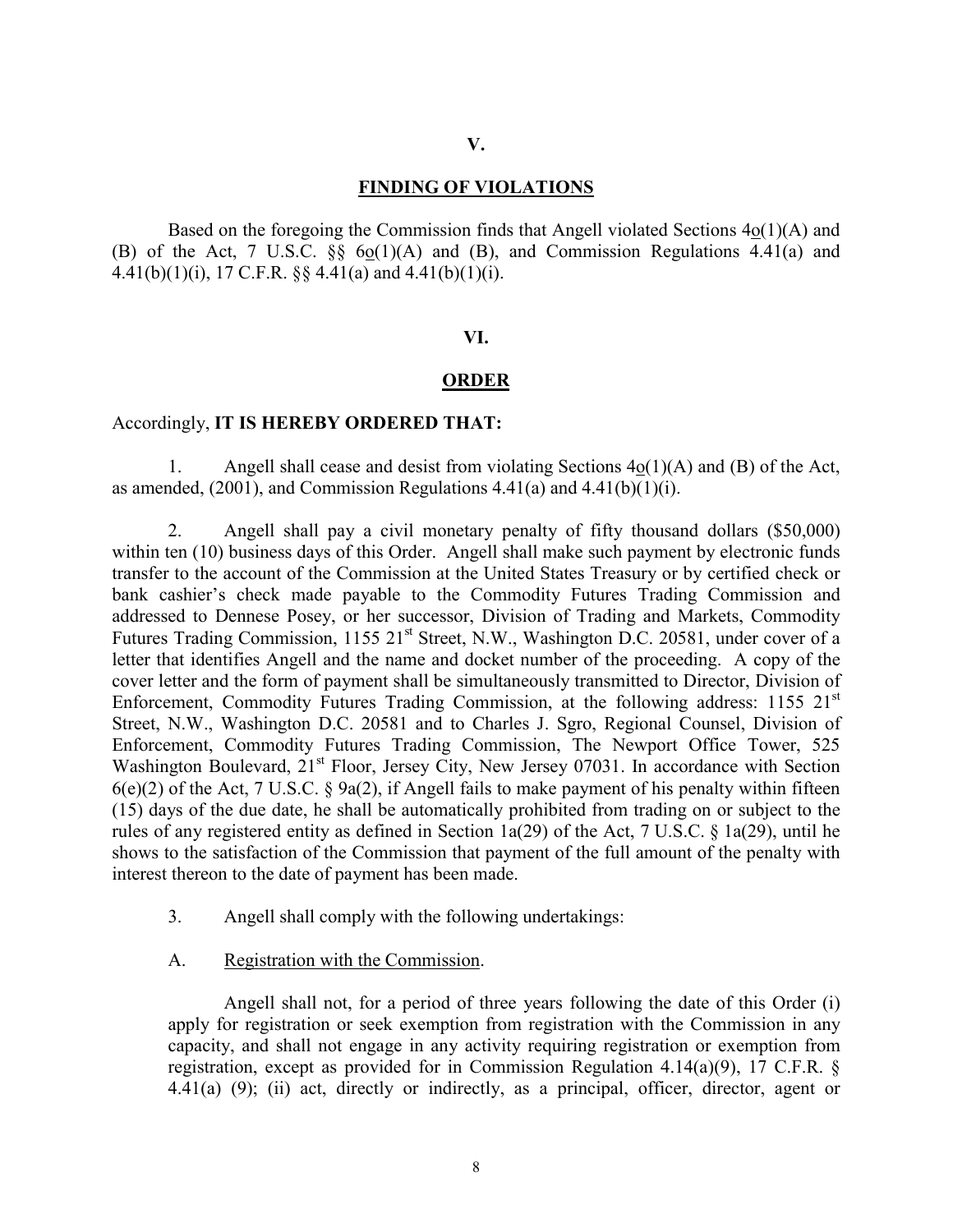### **V.**

### **FINDING OF VIOLATIONS**

Based on the foregoing the Commission finds that Angell violated Sections  $4o(1)(A)$  and (B) of the Act, 7 U.S.C. §§ 6o(1)(A) and (B), and Commission Regulations 4.41(a) and 4.41(b)(1)(i), 17 C.F.R.  $\S$ § 4.41(a) and 4.41(b)(1)(i).

### **VI.**

#### **ORDER**

### Accordingly, **IT IS HEREBY ORDERED THAT:**

1. Angell shall cease and desist from violating Sections 4o(1)(A) and (B) of the Act, as amended,  $(2001)$ , and Commission Regulations  $4.41(a)$  and  $4.41(b)(1)(i)$ .

2. Angell shall pay a civil monetary penalty of fifty thousand dollars (\$50,000) within ten (10) business days of this Order. Angell shall make such payment by electronic funds transfer to the account of the Commission at the United States Treasury or by certified check or bank cashier's check made payable to the Commodity Futures Trading Commission and addressed to Dennese Posey, or her successor, Division of Trading and Markets, Commodity Futures Trading Commission, 1155 21<sup>st</sup> Street, N.W., Washington D.C. 20581, under cover of a letter that identifies Angell and the name and docket number of the proceeding. A copy of the cover letter and the form of payment shall be simultaneously transmitted to Director, Division of Enforcement, Commodity Futures Trading Commission, at the following address: 1155 21<sup>st</sup> Street, N.W., Washington D.C. 20581 and to Charles J. Sgro, Regional Counsel, Division of Enforcement, Commodity Futures Trading Commission, The Newport Office Tower, 525 Washington Boulevard, 21<sup>st</sup> Floor, Jersey City, New Jersey 07031. In accordance with Section  $6(e)(2)$  of the Act, 7 U.S.C. § 9a(2), if Angell fails to make payment of his penalty within fifteen (15) days of the due date, he shall be automatically prohibited from trading on or subject to the rules of any registered entity as defined in Section 1a(29) of the Act, 7 U.S.C. § 1a(29), until he shows to the satisfaction of the Commission that payment of the full amount of the penalty with interest thereon to the date of payment has been made.

- 3. Angell shall comply with the following undertakings:
- A. Registration with the Commission.

Angell shall not, for a period of three years following the date of this Order (i) apply for registration or seek exemption from registration with the Commission in any capacity, and shall not engage in any activity requiring registration or exemption from registration, except as provided for in Commission Regulation 4.14(a)(9), 17 C.F.R. § 4.41(a) (9); (ii) act, directly or indirectly, as a principal, officer, director, agent or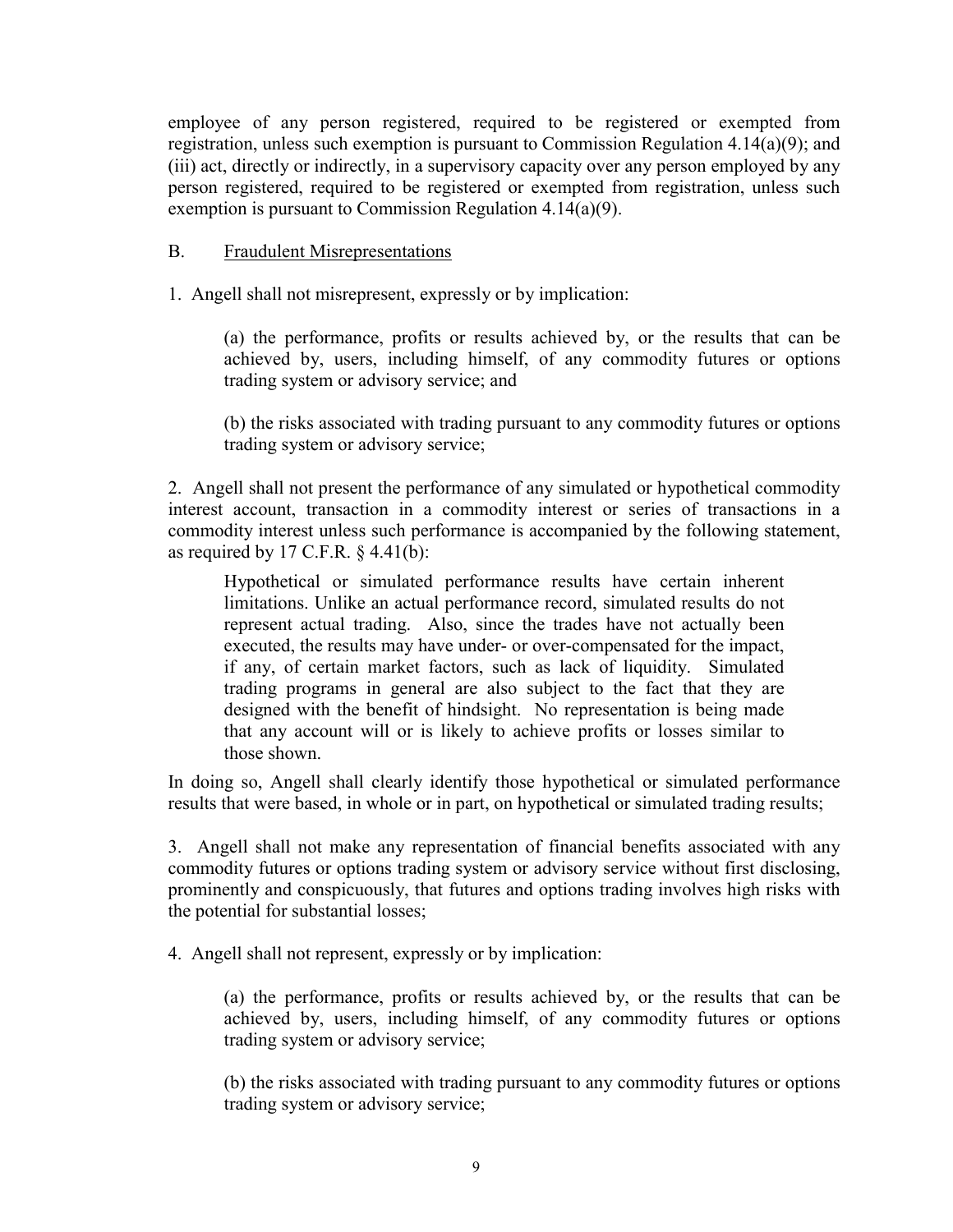employee of any person registered, required to be registered or exempted from registration, unless such exemption is pursuant to Commission Regulation 4.14(a)(9); and (iii) act, directly or indirectly, in a supervisory capacity over any person employed by any person registered, required to be registered or exempted from registration, unless such exemption is pursuant to Commission Regulation 4.14(a)(9).

# B. Fraudulent Misrepresentations

1. Angell shall not misrepresent, expressly or by implication:

(a) the performance, profits or results achieved by, or the results that can be achieved by, users, including himself, of any commodity futures or options trading system or advisory service; and

(b) the risks associated with trading pursuant to any commodity futures or options trading system or advisory service;

2. Angell shall not present the performance of any simulated or hypothetical commodity interest account, transaction in a commodity interest or series of transactions in a commodity interest unless such performance is accompanied by the following statement, as required by  $17$  C.F.R.  $\S$  4.41(b):

Hypothetical or simulated performance results have certain inherent limitations. Unlike an actual performance record, simulated results do not represent actual trading. Also, since the trades have not actually been executed, the results may have under- or over-compensated for the impact, if any, of certain market factors, such as lack of liquidity. Simulated trading programs in general are also subject to the fact that they are designed with the benefit of hindsight. No representation is being made that any account will or is likely to achieve profits or losses similar to those shown.

In doing so, Angell shall clearly identify those hypothetical or simulated performance results that were based, in whole or in part, on hypothetical or simulated trading results;

3. Angell shall not make any representation of financial benefits associated with any commodity futures or options trading system or advisory service without first disclosing, prominently and conspicuously, that futures and options trading involves high risks with the potential for substantial losses;

4. Angell shall not represent, expressly or by implication:

(a) the performance, profits or results achieved by, or the results that can be achieved by, users, including himself, of any commodity futures or options trading system or advisory service;

(b) the risks associated with trading pursuant to any commodity futures or options trading system or advisory service;